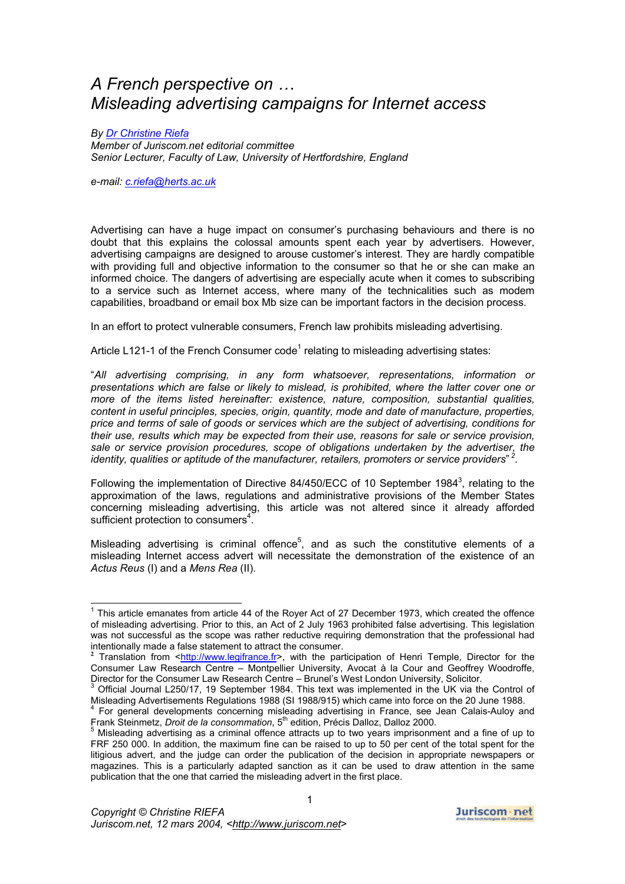# *A French perspective on … Misleading advertising campaigns for Internet access*

*By [Dr Christine Riefa](http://www.juriscom.net/minicv/criefa.php)*

*Member of Juriscom.net editorial committee Senior Lecturer, Faculty of Law, University of Hertfordshire, England* 

*e-mail: [c.riefa@herts.ac.uk](mailto:c.riefa@herts.ac.uk)*

Advertising can have a huge impact on consumer's purchasing behaviours and there is no doubt that this explains the colossal amounts spent each year by advertisers. However, advertising campaigns are designed to arouse customer's interest. They are hardly compatible with providing full and objective information to the consumer so that he or she can make an informed choice. The dangers of advertising are especially acute when it comes to subscribing to a service such as Internet access, where many of the technicalities such as modem capabilities, broadband or email box Mb size can be important factors in the decision process.

In an effort to protect vulnerable consumers, French law prohibits misleading advertising.

Article L[1](#page-0-0)21-1 of the French Consumer code<sup>1</sup> relating to misleading advertising states:

"*All advertising comprising, in any form whatsoever, representations, information or presentations which are false or likely to mislead, is prohibited, where the latter cover one or more of the items listed hereinafter: existence, nature, composition, substantial qualities, content in useful principles, species, origin, quantity, mode and date of manufacture, properties, price and terms of sale of goods or services which are the subject of advertising, conditions for their use, results which may be expected from their use, reasons for sale or service provision, sale or service provision procedures, scope of obligations undertaken by the advertiser, the identity, qualities or aptitude of the manufacturer, retailers, promoters or service providers*" *<sup>2</sup> [.](#page-0-1)* 

Following the implementation of Directive 84/450/ECC of 10 September 1984<sup>[3](#page-0-2)</sup>, relating to the approximation of the laws, regulations and administrative provisions of the Member States concerning misleading advertising, this article was not altered since it already afforded sufficient protection to consumers<sup>4</sup>[.](#page-0-3)

Misleading advertising is criminal offence $5$ , and as such the constitutive elements of a misleading Internet access advert will necessitate the demonstration of the existence of an *Actus Reus* (I) and a *Mens Rea* (II).

<span id="page-0-0"></span>1 This article emanates from article 44 of the Royer Act of 27 December 1973, which created the offence of misleading advertising. Prior to this, an Act of 2 July 1963 prohibited false advertising. This legislation was not successful as the scope was rather reductive requiring demonstration that the professional had intentionally made a false statement to attract the consumer. **<sup>2</sup>**

<span id="page-0-1"></span><sup>&</sup>lt;sup>2</sup> Translation from <[http://www.legifrance.fr](http://www.legifrance.fr/)>, with the participation of Henri Temple, Director for the Consumer Law Research Centre – Montpellier University, Avocat à la Cour and Geoffrey Woodroffe, Director for the Consumer Law Research Centre – Brunel's West London University, Solicitor.

<span id="page-0-2"></span>Official Journal L250/17, 19 September 1984. This text was implemented in the UK via the Control of Misleading Advertisements Regulations 1988 (SI 1988/915) which came into force on the 20 June 1988. 4

<span id="page-0-3"></span><sup>&</sup>lt;sup>4</sup> For general developments concerning misleading advertising in France, see Jean Calais-Auloy and Frank Steinmetz, *Droit de la consommation*, 5<sup>th</sup> edition, Précis Dalloz, Dalloz 2000.

<span id="page-0-4"></span><sup>&</sup>lt;sup>5</sup> Misleading advertising as a criminal offence attracts up to two years imprisonment and a fine of up to FRF 250 000. In addition, the maximum fine can be raised to up to 50 per cent of the total spent for the litigious advert, and the judge can order the publication of the decision in appropriate newspapers or magazines. This is a particularly adapted sanction as it can be used to draw attention in the same publication that the one that carried the misleading advert in the first place.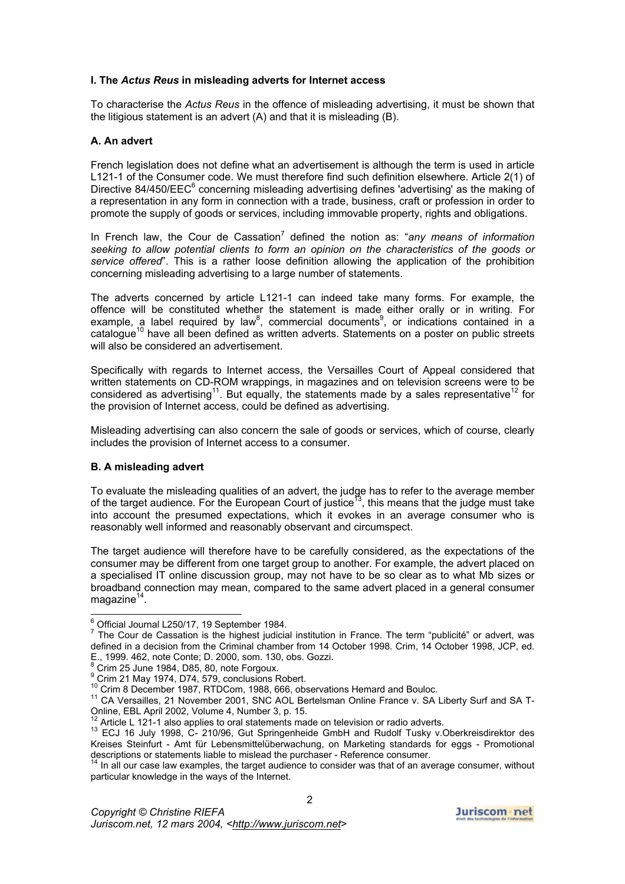## **I. The** *Actus Reus* **in misleading adverts for Internet access**

To characterise the *Actus Reus* in the offence of misleading advertising, it must be shown that the litigious statement is an advert (A) and that it is misleading (B).

# **A. An advert**

French legislation does not define what an advertisement is although the term is used in article L121-1 of the Consumer code. We must therefore find such definition elsewhere. Article 2(1) of Directive 84/450/EEC $<sup>6</sup>$  concerning misleading advertising defines 'advertising' as the making of</sup> a representation in any form in connection with a trade, business, craft or profession in order to promote the supply of goods or services, including immovable property, rights and obligations.

In French law, the Cour de Cassation<sup>[7](#page-1-1)</sup> defined the notion as: "any means of information *seeking to allow potential clients to form an opinion on the characteristics of the goods or service offered*". This is a rather loose definition allowing the application of the prohibition concerning misleading advertising to a large number of statements.

The adverts concerned by article L121-1 can indeed take many forms. For example, the offence will be constituted whether the statement is made either orally or in writing. For example, a label required by law<sup>[8](#page-1-2)</sup>, commercial documents<sup>[9](#page-1-3)</sup>, or indications contained in a catalogue<sup>10</sup> have all been defined as written adverts. Statements on a poster on public streets will also be considered an advertisement.

Specifically with regards to Internet access, the Versailles Court of Appeal considered that written statements on CD-ROM wrappings, in magazines and on television screens were to be considered as advertising<sup>11</sup>. But equally, the statements made by a sales representative<sup>12</sup> for the provision of Internet access, could be defined as advertising.

Misleading advertising can also concern the sale of goods or services, which of course, clearly includes the provision of Internet access to a consumer.

# **B. A misleading advert**

To evaluate the misleading qualities of an advert, the judge has to refer to the average member of the target audience. For the European Court of justice<sup>13</sup>, this means that the judge must take into account the presumed expectations, which it evokes in an average consumer who is reasonably well informed and reasonably observant and circumspect.

The target audience will therefore have to be carefully considered, as the expectations of the consumer may be different from one target group to another. For example, the advert placed on a specialised IT online discussion group, may not have to be so clear as to what Mb sizes or broadband connection may mean, compared to the same advert placed in a general consumer magazine $14$ .

<span id="page-1-0"></span><sup>&</sup>lt;sup>6</sup> Official Journal L250/17, 19 September 1984.

<span id="page-1-1"></span> $\frac{7}{7}$  The Cour de Cassation is the highest judicial institution in France. The term "publicité" or advert, was defined in a decision from the Criminal chamber from 14 October 1998. Crim, 14 October 1998, JCP, ed. E., 1999. 462, note Conte; D. 2000, som. 130, obs. Gozzi. 8

<span id="page-1-2"></span>Crim 25 June 1984, D85, 80, note Forgoux. 9

<span id="page-1-3"></span>

<span id="page-1-5"></span><span id="page-1-4"></span>

<sup>&</sup>lt;sup>9</sup> Crim 21 May 1974, D74, 579, conclusions Robert.<br><sup>10</sup> Crim 8 December 1987, RTDCom, 1988, 666, observations Hemard and Bouloc.<br><sup>11</sup> CA Versailles, 21 November 2001, SNC AOL Bertelsman Online France v. SA Liberty Surf an

<span id="page-1-7"></span><span id="page-1-6"></span>

<sup>&</sup>lt;sup>12</sup> Article L 121-1 also applies to oral statements made on television or radio adverts.<br><sup>13</sup> ECJ 16 July 1998, C- 210/96, Gut Springenheide GmbH and Rudolf Tusky v.Oberkreisdirektor des Kreises Steinfurt - Amt für Lebensmittelüberwachung, on Marketing standards for eggs - Promotional descriptions or statements liable to mislead the purchaser - Reference consumer.

<span id="page-1-8"></span><sup>&</sup>lt;sup>14</sup> In all our case law examples, the target audience to consider was that of an average consumer, without particular knowledge in the ways of the Internet.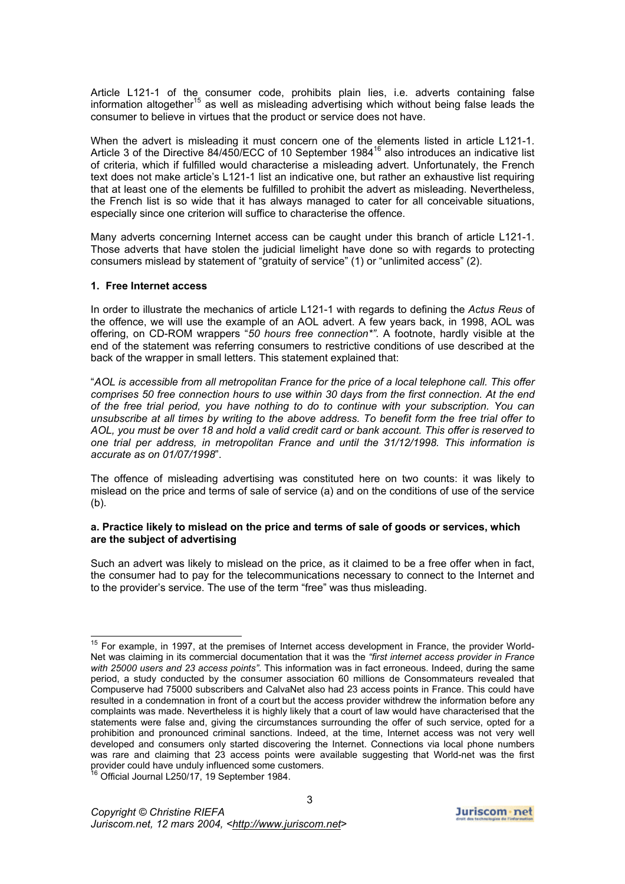Article L121-1 of the consumer code, prohibits plain lies, i.e. adverts containing false information altogether<sup>15</sup> as well as misleading advertising which without being false leads the consumer to believe in virtues that the product or service does not have.

When the advert is misleading it must concern one of the elements listed in article L121-1. Article 3 of the Directive 84/450/ECC of 10 September 1984<sup>16</sup> also introduces an indicative list of criteria, which if fulfilled would characterise a misleading advert. Unfortunately, the French text does not make article's L121-1 list an indicative one, but rather an exhaustive list requiring that at least one of the elements be fulfilled to prohibit the advert as misleading. Nevertheless, the French list is so wide that it has always managed to cater for all conceivable situations, especially since one criterion will suffice to characterise the offence.

Many adverts concerning Internet access can be caught under this branch of article L121-1. Those adverts that have stolen the judicial limelight have done so with regards to protecting consumers mislead by statement of "gratuity of service" (1) or "unlimited access" (2).

#### **1. Free Internet access**

In order to illustrate the mechanics of article L121-1 with regards to defining the *Actus Reus* of the offence, we will use the example of an AOL advert. A few years back, in 1998, AOL was offering, on CD-ROM wrappers "*50 hours free connection\*"*. A footnote, hardly visible at the end of the statement was referring consumers to restrictive conditions of use described at the back of the wrapper in small letters. This statement explained that:

"*AOL is accessible from all metropolitan France for the price of a local telephone call. This offer comprises 50 free connection hours to use within 30 days from the first connection. At the end of the free trial period, you have nothing to do to continue with your subscription. You can unsubscribe at all times by writing to the above address. To benefit form the free trial offer to AOL, you must be over 18 and hold a valid credit card or bank account. This offer is reserved to one trial per address, in metropolitan France and until the 31/12/1998. This information is accurate as on 01/07/1998*".

The offence of misleading advertising was constituted here on two counts: it was likely to mislead on the price and terms of sale of service (a) and on the conditions of use of the service (b).

#### **a. Practice likely to mislead on the price and terms of sale of goods or services, which are the subject of advertising**

Such an advert was likely to mislead on the price, as it claimed to be a free offer when in fact, the consumer had to pay for the telecommunications necessary to connect to the Internet and to the provider's service. The use of the term "free" was thus misleading.

<span id="page-2-0"></span><sup>&</sup>lt;sup>15</sup> For example, in 1997, at the premises of Internet access development in France, the provider World-Net was claiming in its commercial documentation that it was the *"first internet access provider in France with 25000 users and 23 access points"*. This information was in fact erroneous. Indeed, during the same period, a study conducted by the consumer association 60 millions de Consommateurs revealed that Compuserve had 75000 subscribers and CalvaNet also had 23 access points in France. This could have resulted in a condemnation in front of a court but the access provider withdrew the information before any complaints was made. Nevertheless it is highly likely that a court of law would have characterised that the statements were false and, giving the circumstances surrounding the offer of such service, opted for a prohibition and pronounced criminal sanctions. Indeed, at the time, Internet access was not very well developed and consumers only started discovering the Internet. Connections via local phone numbers was rare and claiming that 23 access points were available suggesting that World-net was the first provider could have unduly influenced some customers.

<span id="page-2-1"></span><sup>&</sup>lt;sup>16</sup> Official Journal L250/17, 19 September 1984.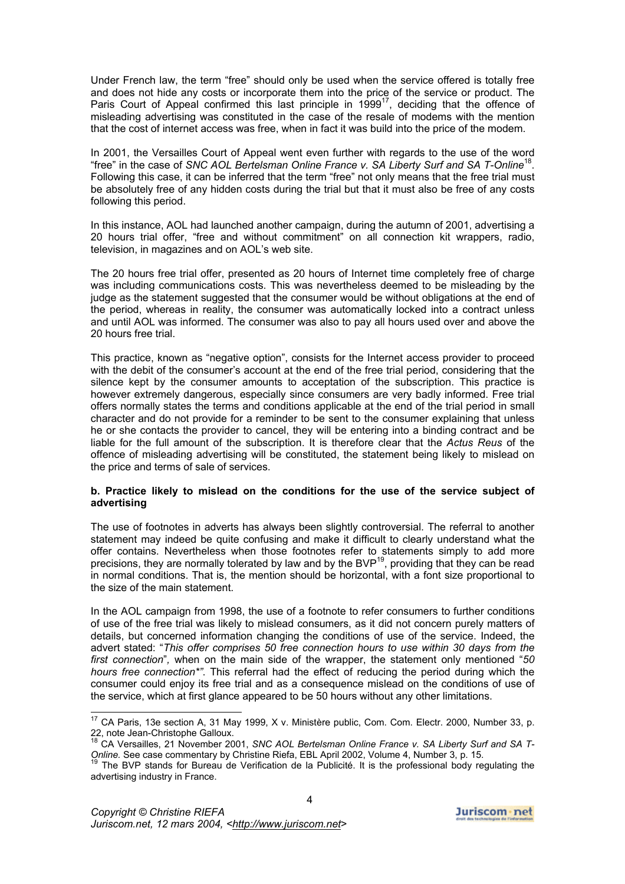Under French law, the term "free" should only be used when the service offered is totally free and does not hide any costs or incorporate them into the price of the service or product. The Paris Court of Appeal confirmed this last principle in 1999<sup>17</sup>, deciding that the offence of misleading advertising was constituted in the case of the resale of modems with the mention that the cost of internet access was free, when in fact it was build into the price of the modem.

In 2001, the Versailles Court of Appeal went even further with regards to the use of the word "free" in the case of *SNC AOL Bertelsman Online France v. SA Liberty Surf and SA T-Online*[18.](#page-3-1) Following this case, it can be inferred that the term "free" not only means that the free trial must be absolutely free of any hidden costs during the trial but that it must also be free of any costs following this period.

In this instance, AOL had launched another campaign, during the autumn of 2001, advertising a 20 hours trial offer, "free and without commitment" on all connection kit wrappers, radio, television, in magazines and on AOL's web site.

The 20 hours free trial offer, presented as 20 hours of Internet time completely free of charge was including communications costs. This was nevertheless deemed to be misleading by the judge as the statement suggested that the consumer would be without obligations at the end of the period, whereas in reality, the consumer was automatically locked into a contract unless and until AOL was informed. The consumer was also to pay all hours used over and above the 20 hours free trial.

This practice, known as "negative option", consists for the Internet access provider to proceed with the debit of the consumer's account at the end of the free trial period, considering that the silence kept by the consumer amounts to acceptation of the subscription. This practice is however extremely dangerous, especially since consumers are very badly informed. Free trial offers normally states the terms and conditions applicable at the end of the trial period in small character and do not provide for a reminder to be sent to the consumer explaining that unless he or she contacts the provider to cancel, they will be entering into a binding contract and be liable for the full amount of the subscription. It is therefore clear that the *Actus Reus* of the offence of misleading advertising will be constituted, the statement being likely to mislead on the price and terms of sale of services.

## **b. Practice likely to mislead on the conditions for the use of the service subject of advertising**

The use of footnotes in adverts has always been slightly controversial. The referral to another statement may indeed be quite confusing and make it difficult to clearly understand what the offer contains. Nevertheless when those footnotes refer to statements simply to add more precisions, they are normally tolerated by law and by the BVP<sup>19</sup>, providing that they can be read in normal conditions. That is, the mention should be horizontal, with a font size proportional to the size of the main statement.

In the AOL campaign from 1998, the use of a footnote to refer consumers to further conditions of use of the free trial was likely to mislead consumers, as it did not concern purely matters of details, but concerned information changing the conditions of use of the service. Indeed, the advert stated: "*This offer comprises 50 free connection hours to use within 30 days from the first connection*"*,* when on the main side of the wrapper, the statement only mentioned "*50 hours free connection\*"*. This referral had the effect of reducing the period during which the consumer could enjoy its free trial and as a consequence mislead on the conditions of use of the service, which at first glance appeared to be 50 hours without any other limitations.

<span id="page-3-0"></span><sup>&</sup>lt;sup>17</sup> CA Paris, 13e section A, 31 May 1999, X v. Ministère public, Com. Com. Electr. 2000, Number 33, p.<br>22, note Jean-Christophe Galloux.<br><sup>18</sup> OA Marsilles, 24 News the 2004, 2006, 2006, 2016, 2016, 2017, 2018, 2018, 2019

<span id="page-3-1"></span>CA Versailles, 21 November 2001, *SNC AOL Bertelsman Online France v. SA Liberty Surf and SA T-Online.* See case commentary by Christine Riefa, EBL April 2002, Volume 4, Number 3, p. 15.

<span id="page-3-2"></span><sup>&</sup>lt;sup>19</sup> The BVP stands for Bureau de Verification de la Publicité. It is the professional body regulating the advertising industry in France.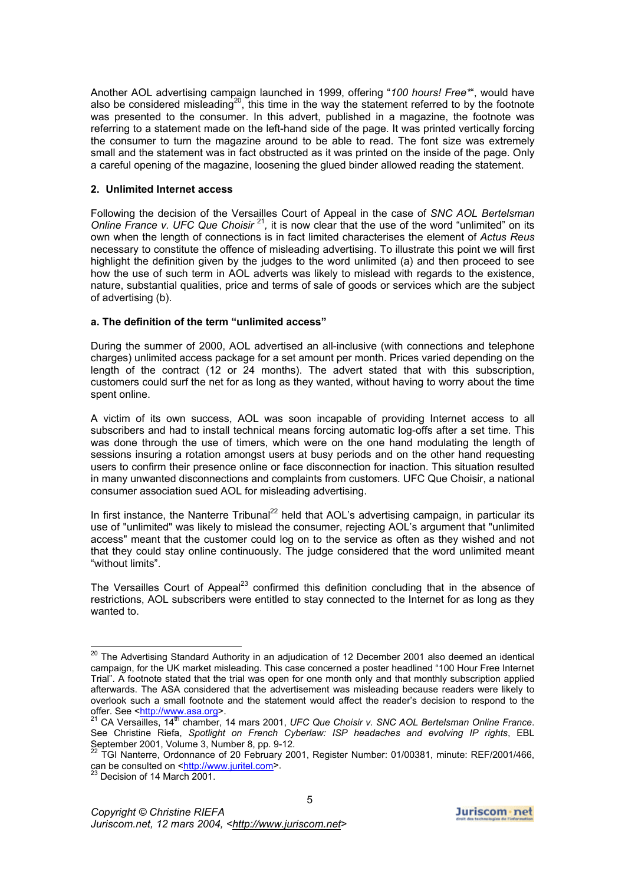Another AOL advertising campaign launched in 1999, offering "*100 hours! Free\**", would have also be considered misleading<sup>20</sup>, this time in the way the statement referred to by the footnote was presented to the consumer. In this advert, published in a magazine, the footnote was referring to a statement made on the left-hand side of the page. It was printed vertically forcing the consumer to turn the magazine around to be able to read. The font size was extremely small and the statement was in fact obstructed as it was printed on the inside of the page. Only a careful opening of the magazine, loosening the glued binder allowed reading the statement.

# **2. Unlimited Internet access**

Following the decision of the Versailles Court of Appeal in the case of *SNC AOL Bertelsman Online France v. UFC Que Choisir*<sup>[21](#page-4-1)</sup>, it is now clear that the use of the word "unlimited" on its own when the length of connections is in fact limited characterises the element of *Actus Reus* necessary to constitute the offence of misleading advertising. To illustrate this point we will first highlight the definition given by the judges to the word unlimited (a) and then proceed to see how the use of such term in AOL adverts was likely to mislead with regards to the existence, nature, substantial qualities, price and terms of sale of goods or services which are the subject of advertising (b).

# **a. The definition of the term "unlimited access"**

During the summer of 2000, AOL advertised an all-inclusive (with connections and telephone charges) unlimited access package for a set amount per month. Prices varied depending on the length of the contract (12 or 24 months). The advert stated that with this subscription, customers could surf the net for as long as they wanted, without having to worry about the time spent online.

A victim of its own success, AOL was soon incapable of providing Internet access to all subscribers and had to install technical means forcing automatic log-offs after a set time. This was done through the use of timers, which were on the one hand modulating the length of sessions insuring a rotation amongst users at busy periods and on the other hand requesting users to confirm their presence online or face disconnection for inaction. This situation resulted in many unwanted disconnections and complaints from customers. UFC Que Choisir, a national consumer association sued AOL for misleading advertising.

In first instance, the Nanterre Tribunal<sup>22</sup> held that AOL's advertising campaign, in particular its use of "unlimited" was likely to mislead the consumer, rejecting AOL's argument that "unlimited access" meant that the customer could log on to the service as often as they wished and not that they could stay online continuously. The judge considered that the word unlimited meant "without limits".

The Versailles Court of Appeal<sup>23</sup> confirmed this definition concluding that in the absence of restrictions, AOL subscribers were entitled to stay connected to the Internet for as long as they wanted to.

<span id="page-4-0"></span> $20$  The Advertising Standard Authority in an adjudication of 12 December 2001 also deemed an identical campaign, for the UK market misleading. This case concerned a poster headlined "100 Hour Free Internet Trial". A footnote stated that the trial was open for one month only and that monthly subscription applied afterwards. The ASA considered that the advertisement was misleading because readers were likely to overlook such a small footnote and the statement would affect the reader's decision to respond to the offer. See [<http://www.asa.org>](http://www.asa.org/).<br><sup>21</sup> CA Versailles, 14<sup>th</sup> chamber, 14 mars 2001, *UFC Que Choisir v. SNC AOL Bertelsman Online France*.

<span id="page-4-1"></span>See Christine Riefa, *Spotlight on French Cyberlaw: ISP headaches and evolving IP rights*, EBL September 2001, Volume 3, Number 8, pp. 9-12.<br>
<sup>22</sup> TGI Nanterre, Ordonnance of 20 February 2001, Register Number: 01/00381, minute: REF/2001/466,

<span id="page-4-2"></span>can be consulted on <[http://www.juritel.com](http://www.juritel.com/)>.

<span id="page-4-3"></span> $^{23}$  Decision of 14 March 2001.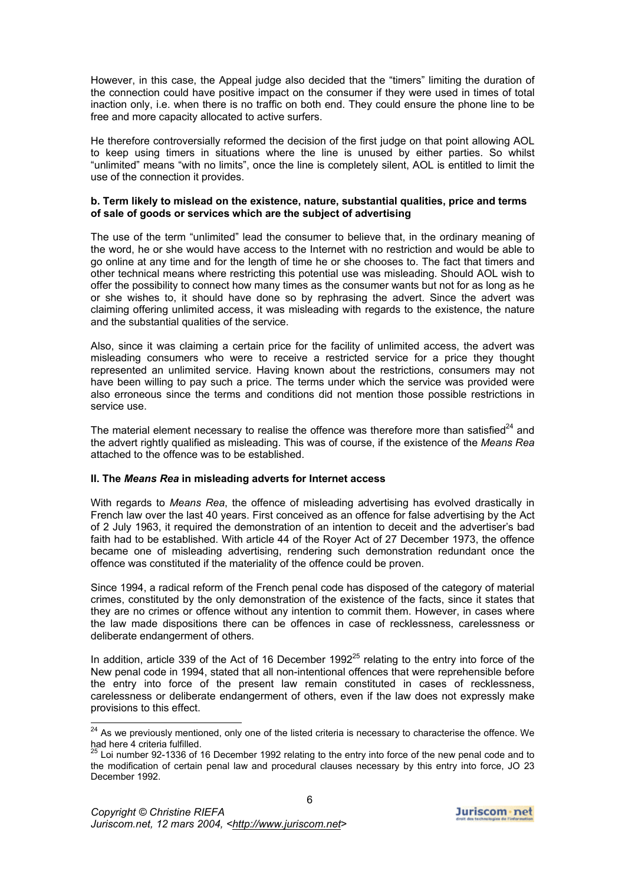However, in this case, the Appeal judge also decided that the "timers" limiting the duration of the connection could have positive impact on the consumer if they were used in times of total inaction only, i.e. when there is no traffic on both end. They could ensure the phone line to be free and more capacity allocated to active surfers.

He therefore controversially reformed the decision of the first judge on that point allowing AOL to keep using timers in situations where the line is unused by either parties. So whilst "unlimited" means "with no limits", once the line is completely silent, AOL is entitled to limit the use of the connection it provides.

## **b. Term likely to mislead on the existence, nature, substantial qualities, price and terms of sale of goods or services which are the subject of advertising**

The use of the term "unlimited" lead the consumer to believe that, in the ordinary meaning of the word, he or she would have access to the Internet with no restriction and would be able to go online at any time and for the length of time he or she chooses to. The fact that timers and other technical means where restricting this potential use was misleading. Should AOL wish to offer the possibility to connect how many times as the consumer wants but not for as long as he or she wishes to, it should have done so by rephrasing the advert. Since the advert was claiming offering unlimited access, it was misleading with regards to the existence, the nature and the substantial qualities of the service.

Also, since it was claiming a certain price for the facility of unlimited access, the advert was misleading consumers who were to receive a restricted service for a price they thought represented an unlimited service. Having known about the restrictions, consumers may not have been willing to pay such a price. The terms under which the service was provided were also erroneous since the terms and conditions did not mention those possible restrictions in service use.

The material element necessary to realise the offence was therefore more than satisfied<sup>24</sup> and the advert rightly qualified as misleading. This was of course, if the existence of the *Means Rea* attached to the offence was to be established.

## **II. The** *Means Rea* **in misleading adverts for Internet access**

With regards to *Means Rea*, the offence of misleading advertising has evolved drastically in French law over the last 40 years. First conceived as an offence for false advertising by the Act of 2 July 1963, it required the demonstration of an intention to deceit and the advertiser's bad faith had to be established. With article 44 of the Royer Act of 27 December 1973, the offence became one of misleading advertising, rendering such demonstration redundant once the offence was constituted if the materiality of the offence could be proven.

Since 1994, a radical reform of the French penal code has disposed of the category of material crimes, constituted by the only demonstration of the existence of the facts, since it states that they are no crimes or offence without any intention to commit them. However, in cases where the law made dispositions there can be offences in case of recklessness, carelessness or deliberate endangerment of others.

In addition, article 339 of the Act of 16 December 1992 $^{25}$  relating to the entry into force of the New penal code in 1994, stated that all non-intentional offences that were reprehensible before the entry into force of the present law remain constituted in cases of recklessness, carelessness or deliberate endangerment of others, even if the law does not expressly make provisions to this effect.

<span id="page-5-0"></span><sup>&</sup>lt;sup>24</sup> As we previously mentioned, only one of the listed criteria is necessary to characterise the offence. We had here 4 criteria fulfilled.

<span id="page-5-1"></span><sup>25</sup> Loi number 92-1336 of 16 December 1992 relating to the entry into force of the new penal code and to the modification of certain penal law and procedural clauses necessary by this entry into force, JO 23 December 1992.